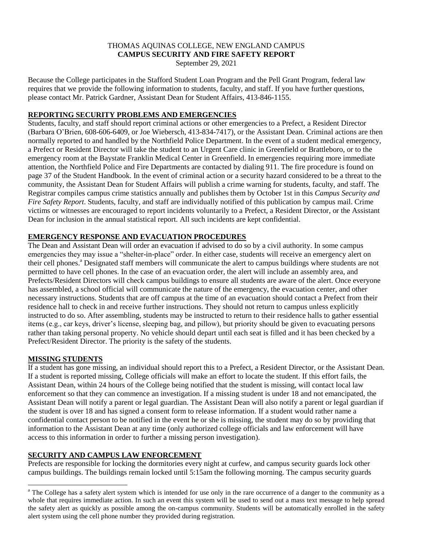#### THOMAS AQUINAS COLLEGE, NEW ENGLAND CAMPUS **CAMPUS SECURITY AND FIRE SAFETY REPORT**

September 29, 2021

Because the College participates in the Stafford Student Loan Program and the Pell Grant Program, federal law requires that we provide the following information to students, faculty, and staff. If you have further questions, please contact Mr. Patrick Gardner, Assistant Dean for Student Affairs, 413-846-1155.

# **REPORTING SECURITY PROBLEMS AND EMERGENCIES**

Students, faculty, and staff should report criminal actions or other emergencies to a Prefect, a Resident Director (Barbara O'Brien, 608-606-6409, or Joe Wiebersch, 413-834-7417), or the Assistant Dean. Criminal actions are then normally reported to and handled by the Northfield Police Department. In the event of a student medical emergency, a Prefect or Resident Director will take the student to an Urgent Care clinic in Greenfield or Brattleboro, or to the emergency room at the Baystate Franklin Medical Center in Greenfield. In emergencies requiring more immediate attention, the Northfield Police and Fire Departments are contacted by dialing 911. The fire procedure is found on page 37 of the Student Handbook. In the event of criminal action or a security hazard considered to be a threat to the community, the Assistant Dean for Student Affairs will publish a crime warning for students, faculty, and staff. The Registrar compiles campus crime statistics annually and publishes them by October 1st in this *Campus Security and Fire Safety Report*. Students, faculty, and staff are individually notified of this publication by campus mail. Crime victims or witnesses are encouraged to report incidents voluntarily to a Prefect, a Resident Director, or the Assistant Dean for inclusion in the annual statistical report. All such incidents are kept confidential.

# **EMERGENCY RESPONSE AND EVACUATION PROCEDURES**

The Dean and Assistant Dean will order an evacuation if advised to do so by a civil authority. In some campus emergencies they may issue a "shelter-in-place" order. In either case, students will receive an emergency alert on their cell phones.<sup>a</sup> Designated staff members will communicate the alert to campus buildings where students are not permitted to have cell phones. In the case of an evacuation order, the alert will include an assembly area, and Prefects/Resident Directors will check campus buildings to ensure all students are aware of the alert. Once everyone has assembled, a school official will communicate the nature of the emergency, the evacuation center, and other necessary instructions. Students that are off campus at the time of an evacuation should contact a Prefect from their residence hall to check in and receive further instructions. They should not return to campus unless explicitly instructed to do so. After assembling, students may be instructed to return to their residence halls to gather essential items (e.g., car keys, driver's license, sleeping bag, and pillow), but priority should be given to evacuating persons rather than taking personal property. No vehicle should depart until each seat is filled and it has been checked by a Prefect/Resident Director. The priority is the safety of the students.

### **MISSING STUDENTS**

l

If a student has gone missing, an individual should report this to a Prefect, a Resident Director, or the Assistant Dean. If a student is reported missing, College officials will make an effort to locate the student. If this effort fails, the Assistant Dean, within 24 hours of the College being notified that the student is missing, will contact local law enforcement so that they can commence an investigation. If a missing student is under 18 and not emancipated, the Assistant Dean will notify a parent or legal guardian. The Assistant Dean will also notify a parent or legal guardian if the student is over 18 and has signed a consent form to release information. If a student would rather name a confidential contact person to be notified in the event he or she is missing, the student may do so by providing that information to the Assistant Dean at any time (only authorized college officials and law enforcement will have access to this information in order to further a missing person investigation).

# **SECURITY AND CAMPUS LAW ENFORCEMENT**

Prefects are responsible for locking the dormitories every night at curfew, and campus security guards lock other campus buildings. The buildings remain locked until 5:15am the following morning. The campus security guards

<sup>&</sup>lt;sup>a</sup> The College has a safety alert system which is intended for use only in the rare occurrence of a danger to the community as a whole that requires immediate action. In such an event this system will be used to send out a mass text message to help spread the safety alert as quickly as possible among the on-campus community. Students will be automatically enrolled in the safety alert system using the cell phone number they provided during registration.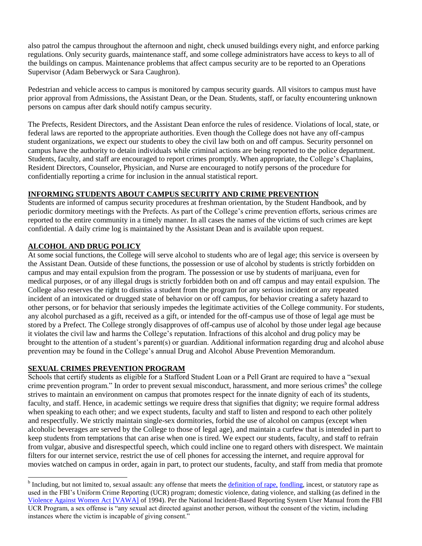also patrol the campus throughout the afternoon and night, check unused buildings every night, and enforce parking regulations. Only security guards, maintenance staff, and some college administrators have access to keys to all of the buildings on campus. Maintenance problems that affect campus security are to be reported to an Operations Supervisor (Adam Beberwyck or Sara Caughron).

Pedestrian and vehicle access to campus is monitored by campus security guards. All visitors to campus must have prior approval from Admissions, the Assistant Dean, or the Dean. Students, staff, or faculty encountering unknown persons on campus after dark should notify campus security.

The Prefects, Resident Directors, and the Assistant Dean enforce the rules of residence. Violations of local, state, or federal laws are reported to the appropriate authorities. Even though the College does not have any off-campus student organizations, we expect our students to obey the civil law both on and off campus. Security personnel on campus have the authority to detain individuals while criminal actions are being reported to the police department. Students, faculty, and staff are encouraged to report crimes promptly. When appropriate, the College's Chaplains, Resident Directors, Counselor, Physician, and Nurse are encouraged to notify persons of the procedure for confidentially reporting a crime for inclusion in the annual statistical report.

# **INFORMING STUDENTS ABOUT CAMPUS SECURITY AND CRIME PREVENTION**

Students are informed of campus security procedures at freshman orientation, by the Student Handbook, and by periodic dormitory meetings with the Prefects. As part of the College's crime prevention efforts, serious crimes are reported to the entire community in a timely manner. In all cases the names of the victims of such crimes are kept confidential. A daily crime log is maintained by the Assistant Dean and is available upon request.

# **ALCOHOL AND DRUG POLICY**

At some social functions, the College will serve alcohol to students who are of legal age; this service is overseen by the Assistant Dean. Outside of these functions, the possession or use of alcohol by students is strictly forbidden on campus and may entail expulsion from the program. The possession or use by students of marijuana, even for medical purposes, or of any illegal drugs is strictly forbidden both on and off campus and may entail expulsion. The College also reserves the right to dismiss a student from the program for any serious incident or any repeated incident of an intoxicated or drugged state of behavior on or off campus, for behavior creating a safety hazard to other persons, or for behavior that seriously impedes the legitimate activities of the College community. For students, any alcohol purchased as a gift, received as a gift, or intended for the off-campus use of those of legal age must be stored by a Prefect. The College strongly disapproves of off-campus use of alcohol by those under legal age because it violates the civil law and harms the College's reputation. Infractions of this alcohol and drug policy may be brought to the attention of a student's parent(s) or guardian. Additional information regarding drug and alcohol abuse prevention may be found in the College's annual Drug and Alcohol Abuse Prevention Memorandum.

### **SEXUAL CRIMES PREVENTION PROGRAM**

Schools that certify students as eligible for a Stafford Student Loan or a Pell Grant are required to have a "sexual crime prevention program." In order to prevent sexual misconduct, harassment, and more serious crimes<sup>b</sup> the college strives to maintain an environment on campus that promotes respect for the innate dignity of each of its students, faculty, and staff. Hence, in academic settings we require dress that signifies that dignity; we require formal address when speaking to each other; and we expect students, faculty and staff to listen and respond to each other politely and respectfully. We strictly maintain single-sex dormitories, forbid the use of alcohol on campus (except when alcoholic beverages are served by the College to those of legal age), and maintain a curfew that is intended in part to keep students from temptations that can arise when one is tired. We expect our students, faculty, and staff to refrain from vulgar, abusive and disrespectful speech, which could incline one to regard others with disrespect. We maintain filters for our internet service, restrict the use of cell phones for accessing the internet, and require approval for movies watched on campus in order, again in part, to protect our students, faculty, and staff from media that promote

<sup>&</sup>lt;sup>b</sup> Including, but not limited to, sexual assault: any offense that meets the <u>definition of rape, fondling</u>, incest, or statutory rape as used in the FBI's Uniform Crime Reporting (UCR) program; domestic violence, dating violence, and stalking (as defined in the [Violence Against Women Act \[VAWA\]](http://www.justice.gov/sites/default/files/ovw/legacy/2011/07/08/about-ovw-factsheet.pdf) of 1994). Per the National Incident-Based Reporting System User Manual from the FBI UCR Program, a sex offense is "any sexual act directed against another person, without the consent of the victim, including instances where the victim is incapable of giving consent."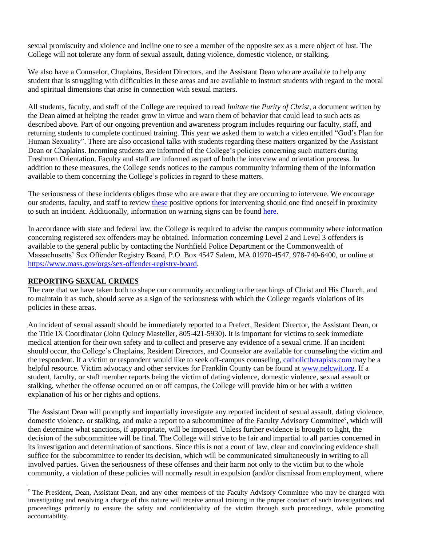sexual promiscuity and violence and incline one to see a member of the opposite sex as a mere object of lust. The College will not tolerate any form of sexual assault, dating violence, domestic violence, or stalking.

We also have a Counselor, Chaplains, Resident Directors, and the Assistant Dean who are available to help any student that is struggling with difficulties in these areas and are available to instruct students with regard to the moral and spiritual dimensions that arise in connection with sexual matters.

All students, faculty, and staff of the College are required to read *Imitate the Purity of Christ*, a document written by the Dean aimed at helping the reader grow in virtue and warn them of behavior that could lead to such acts as described above. Part of our ongoing prevention and awareness program includes requiring our faculty, staff, and returning students to complete continued training. This year we asked them to watch a video entitled "God's Plan for Human Sexuality". There are also occasional talks with students regarding these matters organized by the Assistant Dean or Chaplains. Incoming students are informed of the College's policies concerning such matters during Freshmen Orientation. Faculty and staff are informed as part of both the interview and orientation process. In addition to these measures, the College sends notices to the campus community informing them of the information available to them concerning the College's policies in regard to these matters.

The seriousness of these incidents obliges those who are aware that they are occurring to intervene. We encourage our students, faculty, and staff to review [these](https://www.rainn.org/articles/your-role-preventing-sexual-assault) positive options for intervening should one find oneself in proximity to such an incident. Additionally, information on warning signs can be found [here.](https://www.nsopw.gov/en/SafetyAndEducation)

In accordance with state and federal law, the College is required to advise the campus community where information concerning registered sex offenders may be obtained. Information concerning Level 2 and Level 3 offenders is available to the general public by contacting the Northfield Police Department or the Commonwealth of Massachusetts' Sex Offender Registry Board, P.O. Box 4547 Salem, MA 01970-4547, 978-740-6400, or online at [https://www.mass.gov/orgs/sex-offender-registry-board.](https://www.mass.gov/orgs/sex-offender-registry-board)

#### **REPORTING SEXUAL CRIMES**

l

The care that we have taken both to shape our community according to the teachings of Christ and His Church, and to maintain it as such, should serve as a sign of the seriousness with which the College regards violations of its policies in these areas.

An incident of sexual assault should be immediately reported to a Prefect, Resident Director, the Assistant Dean, or the Title IX Coordinator (John Quincy Masteller, 805-421-5930). It is important for victims to seek immediate medical attention for their own safety and to collect and preserve any evidence of a sexual crime. If an incident should occur, the College's Chaplains, Resident Directors, and Counselor are available for counseling the victim and the respondent. If a victim or respondent would like to seek off-campus counseling, [catholictherapists.com](http://catholictherapists.com/) may be a helpful resource. Victim advocacy and other services for Franklin County can be found at [www.nelcwit.org.](http://www.nelcwit.org/) If a student, faculty, or staff member reports being the victim of dating violence, domestic violence, sexual assault or stalking, whether the offense occurred on or off campus, the College will provide him or her with a written explanation of his or her rights and options.

The Assistant Dean will promptly and impartially investigate any reported incident of sexual assault, dating violence, domestic violence, or stalking, and make a report to a subcommittee of the Faculty Advisory Committee<sup>c</sup>, which will then determine what sanctions, if appropriate, will be imposed. Unless further evidence is brought to light, the decision of the subcommittee will be final. The College will strive to be fair and impartial to all parties concerned in its investigation and determination of sanctions. Since this is not a court of law, clear and convincing evidence shall suffice for the subcommittee to render its decision, which will be communicated simultaneously in writing to all involved parties. Given the seriousness of these offenses and their harm not only to the victim but to the whole community, a violation of these policies will normally result in expulsion (and/or dismissal from employment, where

 $c$  The President, Dean, Assistant Dean, and any other members of the Faculty Advisory Committee who may be charged with investigating and resolving a charge of this nature will receive annual training in the proper conduct of such investigations and proceedings primarily to ensure the safety and confidentiality of the victim through such proceedings, while promoting accountability.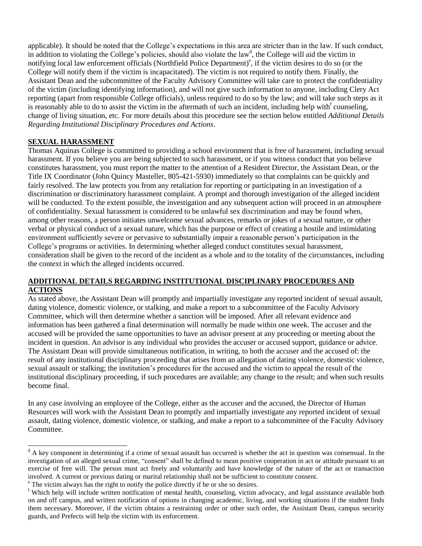applicable). It should be noted that the College's expectations in this area are stricter than in the law. If such conduct, in addition to violating the College's policies, should also violate the law<sup>d</sup>, the College will aid the victim in notifying local law enforcement officials (Northfield Police Department)<sup>e</sup>, if the victim desires to do so (or the College will notify them if the victim is incapacitated). The victim is not required to notify them. Finally, the Assistant Dean and the subcommittee of the Faculty Advisory Committee will take care to protect the confidentiality of the victim (including identifying information), and will not give such information to anyone, including Clery Act reporting (apart from responsible College officials), unless required to do so by the law; and will take such steps as it is reasonably able to do to assist the victim in the aftermath of such an incident, including help with  $f$  counseling, change of living situation, etc. For more details about this procedure see the section below entitled *Additional Details Regarding Institutional Disciplinary Procedures and Actions*.

# **SEXUAL HARASSMENT**

 $\overline{a}$ 

Thomas Aquinas College is committed to providing a school environment that is free of harassment, including sexual harassment. If you believe you are being subjected to such harassment, or if you witness conduct that you believe constitutes harassment, you must report the matter to the attention of a Resident Director, the Assistant Dean, or the Title IX Coordinator (John Quincy Masteller, 805-421-5930) immediately so that complaints can be quickly and fairly resolved. The law protects you from any retaliation for reporting or participating in an investigation of a discrimination or discriminatory harassment complaint. A prompt and thorough investigation of the alleged incident will be conducted. To the extent possible, the investigation and any subsequent action will proceed in an atmosphere of confidentiality. Sexual harassment is considered to be unlawful sex discrimination and may be found when, among other reasons, a person initiates unwelcome sexual advances, remarks or jokes of a sexual nature, or other verbal or physical conduct of a sexual nature, which has the purpose or effect of creating a hostile and intimidating environment sufficiently severe or pervasive to substantially impair a reasonable person's participation in the College's programs or activities. In determining whether alleged conduct constitutes sexual harassment, consideration shall be given to the record of the incident as a whole and to the totality of the circumstances, including the context in which the alleged incidents occurred.

#### **ADDITIONAL DETAILS REGARDING INSTITUTIONAL DISCIPLINARY PROCEDURES AND ACTIONS**

As stated above, the Assistant Dean will promptly and impartially investigate any reported incident of sexual assault, dating violence, domestic violence, or stalking, and make a report to a subcommittee of the Faculty Advisory Committee, which will then determine whether a sanction will be imposed. After all relevant evidence and information has been gathered a final determination will normally be made within one week. The accuser and the accused will be provided the same opportunities to have an advisor present at any proceeding or meeting about the incident in question. An advisor is any individual who provides the accuser or accused support, guidance or advice. The Assistant Dean will provide simultaneous notification, in writing, to both the accuser and the accused of: the result of any institutional disciplinary proceeding that arises from an allegation of dating violence, domestic violence, sexual assault or stalking; the institution's procedures for the accused and the victim to appeal the result of the institutional disciplinary proceeding, if such procedures are available; any change to the result; and when such results become final.

In any case involving an employee of the College, either as the accuser and the accused, the Director of Human Resources will work with the Assistant Dean to promptly and impartially investigate any reported incident of sexual assault, dating violence, domestic violence, or stalking, and make a report to a subcommittee of the Faculty Advisory Committee.

<sup>&</sup>lt;sup>d</sup> A key component in determining if a crime of sexual assault has occurred is whether the act in question was consensual. In the investigation of an alleged sexual crime, "consent" shall be defined to mean positive cooperation in act or attitude pursuant to an exercise of free will. The person must act freely and voluntarily and have knowledge of the nature of the act or transaction involved. A current or previous dating or marital relationship shall not be sufficient to constitute consent.

<sup>&</sup>lt;sup>e</sup> The victim always has the right to notify the police directly if he or she so desires.

<sup>&</sup>lt;sup>f</sup> Which help will include written notification of mental health, counseling, victim advocacy, and legal assistance available both on and off campus, and written notification of options in changing academic, living, and working situations if the student finds them necessary. Moreover, if the victim obtains a restraining order or other such order, the Assistant Dean, campus security guards, and Prefects will help the victim with its enforcement.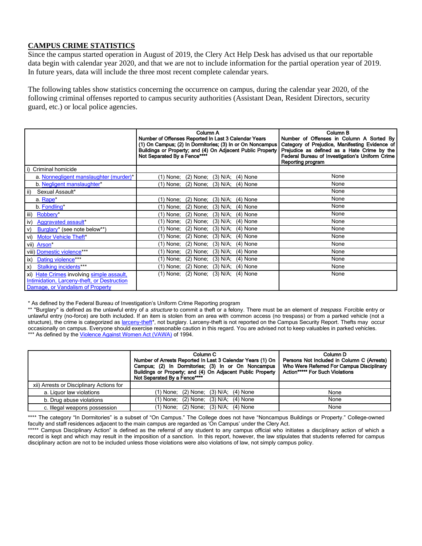### **CAMPUS CRIME STATISTICS**

Since the campus started operation in August of 2019, the Clery Act Help Desk has advised us that our reportable data begin with calendar year 2020, and that we are not to include information for the partial operation year of 2019. In future years, data will include the three most recent complete calendar years.

The following tables show statistics concerning the occurrence on campus, during the calendar year 2020, of the following criminal offenses reported to campus security authorities (Assistant Dean, Resident Directors, security guard, etc.) or local police agencies.

|                                                                                                                              | Column A<br>Number of Offenses Reported In Last 3 Calendar Years<br>(1) On Campus; (2) In Dormitories; (3) In or On Noncampus<br>Buildings or Property; and (4) On Adjacent Public Property<br>Not Separated By a Fence**** | Column B<br>Number of Offenses in Column A Sorted By<br>Category of Prejudice, Manifesting Evidence of<br>Prejudice as defined as a Hate Crime by the<br>Federal Bureau of Investigation's Uniform Crime<br>Reporting program |
|------------------------------------------------------------------------------------------------------------------------------|-----------------------------------------------------------------------------------------------------------------------------------------------------------------------------------------------------------------------------|-------------------------------------------------------------------------------------------------------------------------------------------------------------------------------------------------------------------------------|
| Criminal homicide<br>l i)                                                                                                    |                                                                                                                                                                                                                             |                                                                                                                                                                                                                               |
| a. Nonnegligent manslaughter (murder)*                                                                                       | (1) None; (2) None; (3) N/A; (4) None                                                                                                                                                                                       | None                                                                                                                                                                                                                          |
| b. Negligent manslaughter*                                                                                                   | $(1)$ None; $(2)$ None; $(3)$ N/A; $(4)$ None                                                                                                                                                                               | None                                                                                                                                                                                                                          |
| ii)<br>Sexual Assault*                                                                                                       |                                                                                                                                                                                                                             | None                                                                                                                                                                                                                          |
| a. Rape <sup>*</sup>                                                                                                         | (1) None; (2) None; (3) N/A; (4) None                                                                                                                                                                                       | None                                                                                                                                                                                                                          |
| b. Fondling*                                                                                                                 | $(3)$ N/A;<br>(2) None;<br>$(4)$ None<br>(1) None;                                                                                                                                                                          | None                                                                                                                                                                                                                          |
| iii)<br>Robbery*                                                                                                             | $(2)$ None;<br>$(3)$ N/A;<br>$(4)$ None<br>$(1)$ None;                                                                                                                                                                      | None                                                                                                                                                                                                                          |
| iv)<br>Aggravated assault*                                                                                                   | $(2)$ None;<br>$(3)$ N/A;<br>$(4)$ None<br>(1) None;                                                                                                                                                                        | None                                                                                                                                                                                                                          |
| Burglary* (see note below**)<br>$\mathsf{v}$                                                                                 | $(2)$ None;<br>$(3)$ N/A;<br>$(4)$ None<br>(1) None;                                                                                                                                                                        | None                                                                                                                                                                                                                          |
| vi) Motor Vehicle Theft*                                                                                                     | $(2)$ None;<br>$(3)$ N/A;<br>$(4)$ None<br>(1) None;                                                                                                                                                                        | None                                                                                                                                                                                                                          |
| vii) Arson*                                                                                                                  | $(1)$ None; $(2)$ None;<br>$(3)$ N/A;<br>$(4)$ None                                                                                                                                                                         | None                                                                                                                                                                                                                          |
| viii) Domestic violence***                                                                                                   | $(2)$ None;<br>$(3)$ N/A;<br>$(4)$ None<br>(1) None;                                                                                                                                                                        | None                                                                                                                                                                                                                          |
| ix) Dating violence***                                                                                                       | (2) None;<br>$(3)$ N/A;<br>$(4)$ None<br>(1) None;                                                                                                                                                                          | None                                                                                                                                                                                                                          |
| <b>Stalking incidents***</b><br>$\mathsf{x}$                                                                                 | (2) None;<br>(3) N/A;<br>$(4)$ None<br>(1) None;                                                                                                                                                                            | None                                                                                                                                                                                                                          |
| xi) Hate Crimes involving simple assault.<br>Intimidation, Larceny-theft, or Destruction<br>Damage, or Vandalism of Property | $(1)$ None; $(2)$ None; $(3)$ N/A; $(4)$ None                                                                                                                                                                               | None                                                                                                                                                                                                                          |

\* As defined by the Federal Bureau of Investigation's Uniform Crime Reporting program

\*\* "Burglary" is defined as the unlawful entry of a *structure* to commit a theft or a felony. There must be an element of *trespass*. Forcible entry or unlawful entry (no-force) are both included. If an item is stolen from an area with common access (no trespass) or from a parked vehicle (not a structure), the crime is categorized a[s larceny-theft\\*](http://www.fbi.gov/about-us/cjis/ucr/crime-in-the-u.s/2010/crime-in-the-u.s.-2010/property-crime/larcenytheftmain), not burglary. Larceny-theft is not reported on the Campus Security Report. Thefts may occur occasionally on campus. Everyone should exercise reasonable caution in this regard. You are advised not to keep valuables in parked vehicles. \*\*\* As defined by the Violence Against [Women Act \(VAWA\)](https://www.justice.gov/file/29836/download) of 1994.

|                                          | Column C<br>Number of Arrests Reported In Last 3 Calendar Years (1) On<br>Campus; (2) In Dormitories; (3) In or On Noncampus<br>Buildings or Property; and (4) On Adjacent Public Property<br>Not Separated By a Fence**** | Column <sub>D</sub><br>Persons Not Included in Column C (Arrests)<br>Who Were Referred For Campus Disciplinary<br><b>Action***** For Such Violations</b> |
|------------------------------------------|----------------------------------------------------------------------------------------------------------------------------------------------------------------------------------------------------------------------------|----------------------------------------------------------------------------------------------------------------------------------------------------------|
| xii) Arrests or Disciplinary Actions for |                                                                                                                                                                                                                            |                                                                                                                                                          |
| a. Liguor law violations                 | (1) None; (2) None; (3) N/A; (4) None                                                                                                                                                                                      | None                                                                                                                                                     |
| b. Drug abuse violations                 | (1) None; (2) None; (3) N/A; (4) None                                                                                                                                                                                      | None                                                                                                                                                     |
| c. Illegal weapons possession            | (1) None; (2) None; (3) N/A; (4) None                                                                                                                                                                                      | None                                                                                                                                                     |

\*\*\*\* The category "In Dormitories" is a subset of "On Campus." The College does not have "Noncampus Buildings or Property." College-owned faculty and staff residences adjacent to the main campus are regarded as 'On Campus' under the Clery Act.

\*\*\*\*\* Campus Disciplinary Action" is defined as the referral of any student to any campus official who initiates a disciplinary action of which a record is kept and which may result in the imposition of a sanction. In this report, however, the law stipulates that students referred for campus disciplinary action are not to be included unless those violations were also violations of law, not simply campus policy.